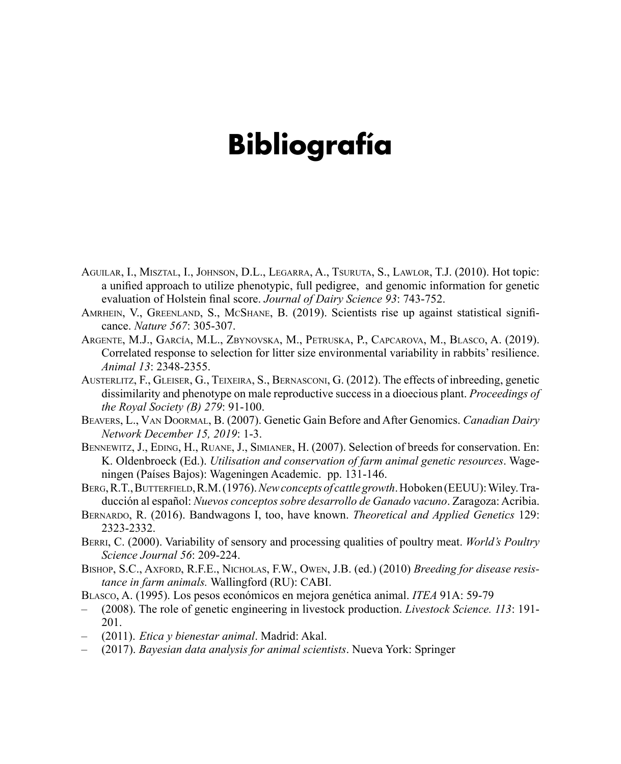## **Bibliografía**

- Aguilar, I., Misztal, I., Johnson, D.L., Legarra, A., Tsuruta, S., Lawlor, T.J. (2010). Hot topic: a unified approach to utilize phenotypic, full pedigree, and genomic information for genetic evaluation of Holstein final score. *Journal of Dairy Science 93*: 743-752.
- Amrhein, V., Greenland, S., McShane, B. (2019). Scientists rise up against statistical significance. *Nature 567*: 305-307.
- Argente, M.J., García, M.L., Zbynovska, M., Petruska, P., Capcarova, M., Blasco, A. (2019). Correlated response to selection for litter size environmental variability in rabbits' resilience. *Animal 13*: 2348-2355.
- Austerlitz, F., Gleiser, G., Teixeira, S., Bernasconi, G. (2012). The effects of inbreeding, genetic dissimilarity and phenotype on male reproductive success in a dioecious plant. *Proceedings of the Royal Society (B) 279*: 91-100.
- Beavers, L., Van Doormal, B. (2007). Genetic Gain Before and After Genomics. *Canadian Dairy Network December 15, 2019*: 1-3.
- BENNEWITZ, J., EDING, H., RUANE, J., SIMIANER, H. (2007). Selection of breeds for conservation. En: K. Oldenbroeck (Ed.). *Utilisation and conservation of farm animal genetic resources*. Wageningen (Países Bajos): Wageningen Academic. pp. 131-146.
- Berg, R.T., Butterfield, R.M. (1976). *New concepts of cattle growth*. Hoboken (EEUU): Wiley. Traducción al español: *Nuevos conceptos sobre desarrollo de Ganado vacuno*. Zaragoza: Acribia.
- Bernardo, R. (2016). Bandwagons I, too, have known. *Theoretical and Applied Genetics* 129: 2323-2332.
- Berri, C. (2000). Variability of sensory and processing qualities of poultry meat. *World's Poultry Science Journal 56*: 209-224.
- Bishop, S.C., Axford, R.F.E., Nicholas, F.W., Owen, J.B. (ed.) (2010) *Breeding for disease resistance in farm animals.* Wallingford (RU): CABI.
- Blasco, A. (1995). Los pesos económicos en mejora genética animal. *ITEA* 91A: 59-79
- (2008). The role of genetic engineering in livestock production. *Livestock Science. 113*: 191- 201.
- (2011). *Etica y bienestar animal*. Madrid: Akal.
- (2017). *Bayesian data analysis for animal scientists*. Nueva York: Springer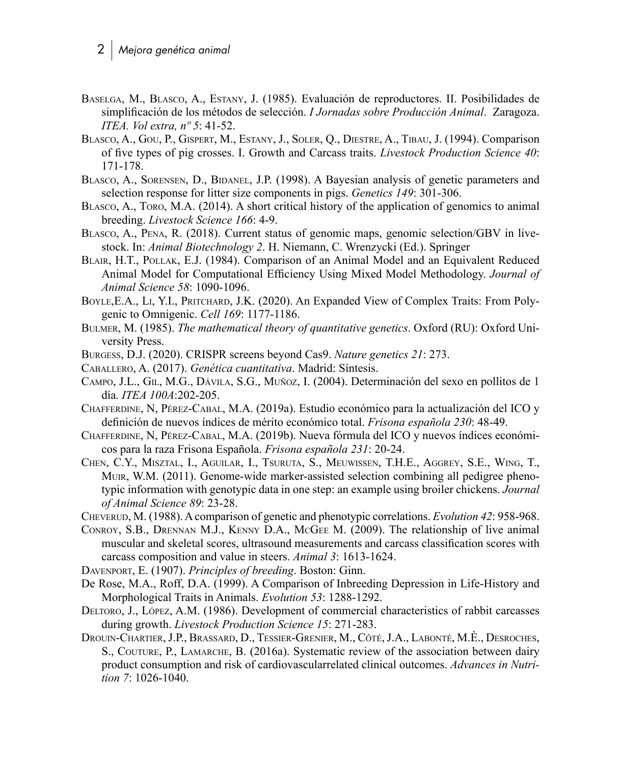- Baselga, M., Blasco, A., Estany, J. (1985). Evaluación de reproductores. II. Posibilidades de simplificación de los métodos de selección. *I Jornadas sobre Producción Animal*. Zaragoza. *ITEA. Vol extra, nº 5*: 41-52.
- Blasco, A., Gou, P., Gispert, M., Estany, J., Soler, Q., Diestre, A., Tibau, J. (1994). Comparison of five types of pig crosses. I. Growth and Carcass traits. *Livestock Production Science 40*: 171-178.
- BLASCO, A., SORENSEN, D., BIDANEL, J.P. (1998). A Bayesian analysis of genetic parameters and selection response for litter size components in pigs. *Genetics 149*: 301-306.
- Blasco, A., Toro, M.A. (2014). A short critical history of the application of genomics to animal breeding. *Livestock Science 166*: 4-9.
- Blasco, A., Pena, R. (2018). Current status of genomic maps, genomic selection/GBV in livestock. In: *Animal Biotechnology 2*. H. Niemann, C. Wrenzycki (Ed.). Springer
- Blair, H.T., Pollak, E.J. (1984). Comparison of an Animal Model and an Equivalent Reduced Animal Model for Computational Efficiency Using Mixed Model Methodology. *Journal of Animal Science 58*: 1090-1096.
- BOYLE, E.A., LI, Y.I., PRITCHARD, J.K. (2020). An Expanded View of Complex Traits: From Polygenic to Omnigenic. *Cell 169*: 1177-1186.
- Bulmer, M. (1985). *The mathematical theory of quantitative genetics*. Oxford (RU): Oxford University Press.
- Burgess, D.J. (2020). CRISPR screens beyond Cas9. *Nature genetics 21*: 273.
- Caballero, A. (2017). *Genética cuantitativa*. Madrid: Síntesis.
- Campo, J.L., Gil, M.G., Dávila, S.G., Muñoz, I. (2004). Determinación del sexo en pollitos de 1 día. *ITEA 100A*:202-205.
- Chafferdine, N, Pérez-Cabal, M.A. (2019a). Estudio económico para la actualización del ICO y definición de nuevos índices de mérito económico total. *Frisona española 230*: 48-49.
- Chafferdine, N, Pérez-Cabal, M.A. (2019b). Nueva fórmula del ICO y nuevos índices económicos para la raza Frisona Española. *Frisona española 231*: 20-24.
- Chen, C.Y., Misztal, I., Aguilar, I., Tsuruta, S., Meuwissen, T.H.E., Aggrey, S.E., Wing, T., Muir, W.M. (2011). Genome-wide marker-assisted selection combining all pedigree phenotypic information with genotypic data in one step: an example using broiler chickens. *Journal of Animal Science 89*: 23-28.
- Cheverud, M. (1988). A comparison of genetic and phenotypic correlations. *Evolution 42*: 958-968.
- Conroy, S.B., Drennan M.J., Kenny D.A., McGee M. (2009). The relationship of live animal muscular and skeletal scores, ultrasound measurements and carcass classification scores with carcass composition and value in steers. *Animal 3*: 1613-1624.

Davenport, E. (1907). *Principles of breeding*. Boston: Ginn.

- De Rose, M.A., Roff, D.A. (1999). A Comparison of Inbreeding Depression in Life-History and Morphological Traits in Animals. *Evolution 53*: 1288-1292.
- Deltoro, J., López, A.M. (1986). Development of commercial characteristics of rabbit carcasses during growth. *Livestock Production Science 15*: 271-283.
- Drouin-Chartier, J.P., Brassard, D., Tessier-Grenier, M., Côté, J.A., Labonté, M.È., Desroches, S., COUTURE, P., LAMARCHE, B. (2016a). Systematic review of the association between dairy product consumption and risk of cardiovascularrelated clinical outcomes. *Advances in Nutrition 7*: 1026-1040.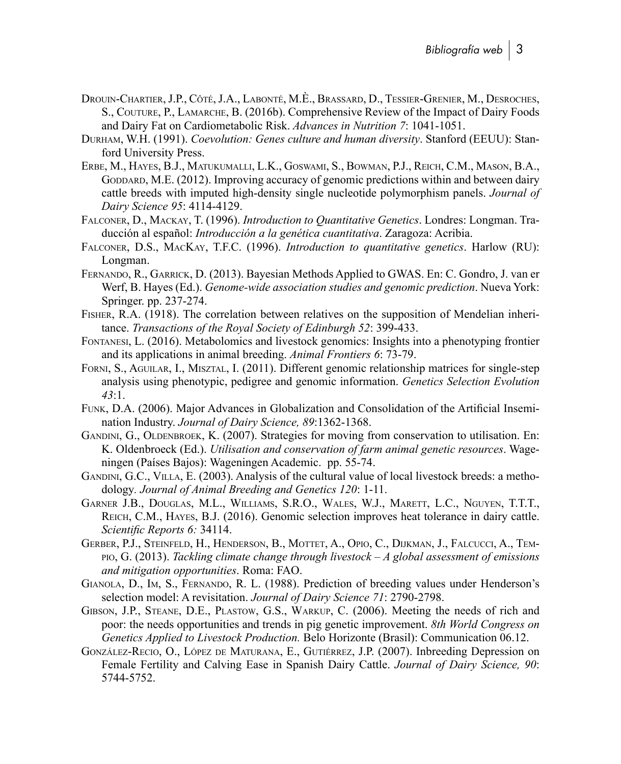- Drouin-Chartier, J.P., Côté, J.A., Labonté, M.È., Brassard, D., Tessier-Grenier, M., Desroches, S., Couture, P., Lamarche, B. (2016b). Comprehensive Review of the Impact of Dairy Foods and Dairy Fat on Cardiometabolic Risk. *Advances in Nutrition 7*: 1041-1051.
- Durham, W.H. (1991). *Coevolution: Genes culture and human diversity*. Stanford (EEUU): Stanford University Press.
- Erbe, M., Hayes, B.J., Matukumalli, L.K., Goswami, S., Bowman, P.J., Reich, C.M., Mason, B.A., GODDARD, M.E. (2012). Improving accuracy of genomic predictions within and between dairy cattle breeds with imputed high-density single nucleotide polymorphism panels. *Journal of Dairy Science 95*: 4114-4129.
- Falconer, D., Mackay, T. (1996). *Introduction to Quantitative Genetics*. Londres: Longman. Traducción al español: *Introducción a la genética cuantitativa*. Zaragoza: Acribia.
- Falconer, D.S., MacKay, T.F.C. (1996). *Introduction to quantitative genetics*. Harlow (RU): Longman.
- Fernando, R., Garrick, D. (2013). Bayesian Methods Applied to GWAS. En: C. Gondro, J. van er Werf, B. Hayes (Ed.). *Genome-wide association studies and genomic prediction*. Nueva York: Springer. pp. 237-274.
- Fisher, R.A. (1918). The correlation between relatives on the supposition of Mendelian inheritance. *Transactions of the Royal Society of Edinburgh 52*: 399-433.
- Fontanesi, L. (2016). Metabolomics and livestock genomics: Insights into a phenotyping frontier and its applications in animal breeding. *Animal Frontiers 6*: 73-79.
- Forni, S., Aguilar, I., Misztal, I. (2011). Different genomic relationship matrices for single-step analysis using phenotypic, pedigree and genomic information. *Genetics Selection Evolution 43*:1.
- Funk, D.A. (2006). Major Advances in Globalization and Consolidation of the Artificial Insemination Industry. *Journal of Dairy Science, 89*:1362-1368.
- GANDINI, G., OLDENBROEK, K. (2007). Strategies for moving from conservation to utilisation. En: K. Oldenbroeck (Ed.). *Utilisation and conservation of farm animal genetic resources*. Wageningen (Países Bajos): Wageningen Academic. pp. 55-74.
- Gandini, G.C., Villa, E. (2003). Analysis of the cultural value of local livestock breeds: a methodology*. Journal of Animal Breeding and Genetics 120*: 1-11.
- Garner J.B., Douglas, M.L., Williams, S.R.O., Wales, W.J., Marett, L.C., Nguyen, T.T.T., Reich, C.M., Hayes, B.J. (2016). Genomic selection improves heat tolerance in dairy cattle. *Scientific Reports 6:* 34114.
- Gerber, P.J., Steinfeld, H., Henderson, B., Mottet, A., Opio, C., Dijkman, J., Falcucci, A., Tempio, G. (2013). *Tackling climate change through livestock – A global assessment of emissions and mitigation opportunities*. Roma: FAO.
- Gianola, D., Im, S., Fernando, R. L. (1988). Prediction of breeding values under Henderson's selection model: A revisitation. *Journal of Dairy Science 71*: 2790-2798.
- Gibson, J.P., Steane, D.E., Plastow, G.S., Warkup, C. (2006). Meeting the needs of rich and poor: the needs opportunities and trends in pig genetic improvement. *8th World Congress on Genetics Applied to Livestock Production.* Belo Horizonte (Brasil): Communication 06.12.
- González-Recio, O., López de Maturana, E., Gutiérrez, J.P. (2007). Inbreeding Depression on Female Fertility and Calving Ease in Spanish Dairy Cattle. *Journal of Dairy Science, 90*: 5744-5752.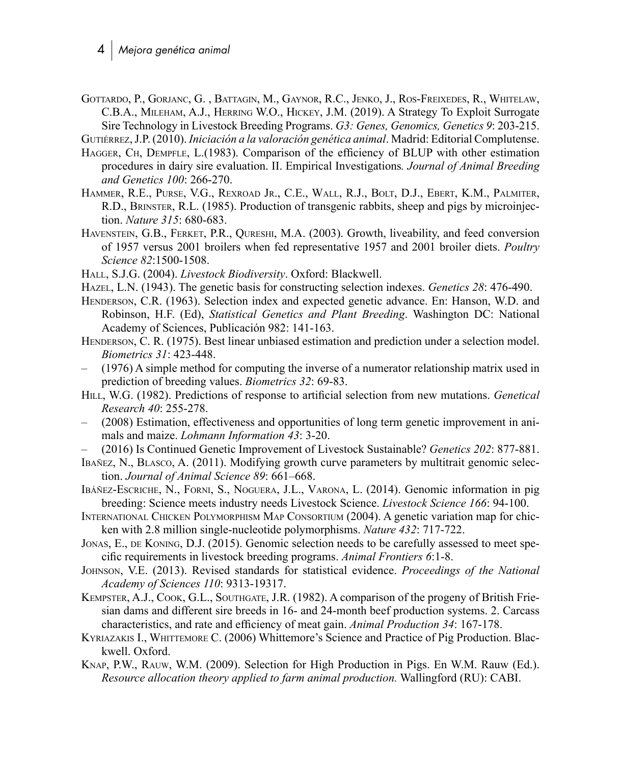- Gottardo, P., Gorjanc, G. , Battagin, M., Gaynor, R.C., Jenko, J., Ros-Freixedes, R., Whitelaw, C.B.A., Mileham, A.J., Herring W.O., Hickey, J.M. (2019). A Strategy To Exploit Surrogate Sire Technology in Livestock Breeding Programs. *G3: Genes, Genomics, Genetics 9*: 203-215. Gutiérrez, J.P. (2010). *Iniciación a la valoración genética animal*. Madrid: Editorial Complutense.
- HAGGER, CH, DEMPFLE, L.(1983). Comparison of the efficiency of BLUP with other estimation procedures in dairy sire evaluation. II. Empirical Investigations*. Journal of Animal Breeding and Genetics 100*: 266-270.
- Hammer, R.E., Purse, V.G., Rexroad Jr., C.E., Wall, R.J., Bolt, D.J., Ebert, K.M., Palmiter, R.D., Brinster, R.L. (1985). Production of transgenic rabbits, sheep and pigs by microinjection. *Nature 315*: 680-683.
- Havenstein, G.B., Ferket, P.R., Qureshi, M.A. (2003). Growth, liveability, and feed conversion of 1957 versus 2001 broilers when fed representative 1957 and 2001 broiler diets. *Poultry Science 82*:1500-1508.
- Hall, S.J.G. (2004). *Livestock Biodiversity*. Oxford: Blackwell.
- Hazel, L.N. (1943). The genetic basis for constructing selection indexes. *Genetics 28*: 476-490.
- Henderson, C.R. (1963). Selection index and expected genetic advance. En: Hanson, W.D. and Robinson, H.F. (Ed), *Statistical Genetics and Plant Breeding*. Washington DC: National Academy of Sciences, Publicación 982: 141-163.
- HENDERSON, C. R. (1975). Best linear unbiased estimation and prediction under a selection model. *Biometrics 31*: 423-448.
- (1976) A simple method for computing the inverse of a numerator relationship matrix used in prediction of breeding values. *Biometrics 32*: 69-83.
- Hill, W.G. (1982). Predictions of response to artificial selection from new mutations. *Genetical Research 40*: 255-278.
- (2008) Estimation, effectiveness and opportunities of long term genetic improvement in animals and maize. *Lohmann Information 43*: 3-20.
- (2016) Is Continued Genetic Improvement of Livestock Sustainable? *Genetics 202*: 877-881.
- Ibañez, N., Blasco, A. (2011). Modifying growth curve parameters by multitrait genomic selection. *Journal of Animal Science 89*: 661–668.
- Ibáñez-Escriche, N., Forni, S., Noguera, J.L., Varona, L. (2014). Genomic information in pig breeding: Science meets industry needs Livestock Science. *Livestock Science 166*: 94-100.
- International Chicken Polymorphism Map Consortium (2004). A genetic variation map for chicken with 2.8 million single-nucleotide polymorphisms. *Nature 432*: 717-722.
- JONAS, E., DE KONING, D.J. (2015). Genomic selection needs to be carefully assessed to meet specific requirements in livestock breeding programs. *Animal Frontiers 6*:1-8.
- Johnson, V.E. (2013). Revised standards for statistical evidence. *Proceedings of the National Academy of Sciences 110*: 9313-19317.
- Kempster, A.J., Cook, G.L., Southgate, J.R. (1982). A comparison of the progeny of British Friesian dams and different sire breeds in 16- and 24-month beef production systems. 2. Carcass characteristics, and rate and efficiency of meat gain. *Animal Production 34*: 167-178.
- Kyriazakis I., Whittemore C. (2006) Whittemore's Science and Practice of Pig Production. Blackwell. Oxford.
- Knap, P.W., Rauw, W.M. (2009). Selection for High Production in Pigs. En W.M. Rauw (Ed.). *Resource allocation theory applied to farm animal production.* Wallingford (RU): CABI.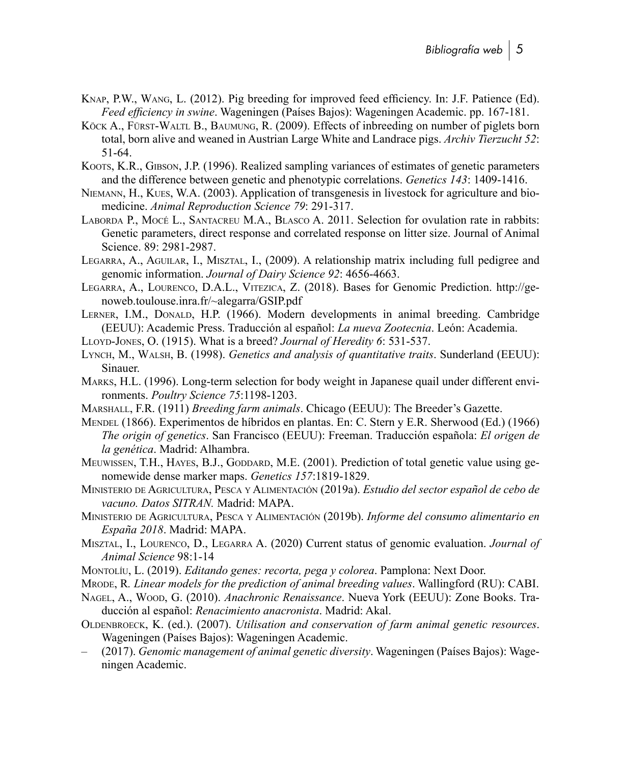- Knap, P.W., Wang, L. (2012). Pig breeding for improved feed efficiency. In: J.F. Patience (Ed). *Feed efficiency in swine*. Wageningen (Países Bajos): Wageningen Academic. pp. 167-181.
- Köck A., Fürst-Waltl B., Baumung, R. (2009). Effects of inbreeding on number of piglets born total, born alive and weaned in Austrian Large White and Landrace pigs. *Archiv Tierzucht 52*: 51-64.
- Koots, K.R., Gibson, J.P. (1996). Realized sampling variances of estimates of genetic parameters and the difference between genetic and phenotypic correlations. *Genetics 143*: 1409-1416.
- Niemann, H., Kues, W.A. (2003). Application of transgenesis in livestock for agriculture and biomedicine. *Animal Reproduction Science 79*: 291-317.
- Laborda P., Mocé L., Santacreu M.A., Blasco A. 2011. Selection for ovulation rate in rabbits: Genetic parameters, direct response and correlated response on litter size. Journal of Animal Science. 89: 2981-2987.
- Legarra, A., Aguilar, I., Misztal, I., (2009). A relationship matrix including full pedigree and genomic information. *Journal of Dairy Science 92*: 4656-4663.
- Legarra, A., Lourenco, D.A.L., Vitezica, Z. (2018). Bases for Genomic Prediction. [http://ge](http://genoweb.toulouse.inra.fr/~alegarra/GSIP.pdf)noweb.toulouse.inra.[fr/~alegarra/GSIP](http://genoweb.toulouse.inra.fr/~alegarra/GSIP.pdf).pdf
- LERNER, I.M., DONALD, H.P. (1966). Modern developments in animal breeding. Cambridge (EEUU): Academic Press. Traducción al español: *La nueva Zootecnia*. León: Academia.
- Lloyd-Jones, O. (1915). What is a breed? *Journal of Heredity 6*: 531-537.
- Lynch, M., Walsh, B. (1998). *Genetics and analysis of quantitative traits*. Sunderland (EEUU): Sinauer.
- Marks, H.L. (1996). Long-term selection for body weight in Japanese quail under different environments. *Poultry Science 75*:1198-1203.
- Marshall, F.R. (1911) *Breeding farm animals*. Chicago (EEUU): The Breeder's Gazette.
- Mendel (1866). Experimentos de híbridos en plantas. En: C. Stern y E.R. Sherwood (Ed.) (1966) *The origin of genetics*. San Francisco (EEUU): Freeman. Traducción española: *El origen de la genética*. Madrid: Alhambra.
- MEUWISSEN, T.H., HAYES, B.J., GODDARD, M.E. (2001). Prediction of total genetic value using genomewide dense marker maps. *Genetics 157*:1819-1829.
- Ministerio de Agricultura, Pesca y Alimentación (2019a). *Estudio del sector español de cebo de vacuno. Datos SITRAN.* Madrid: MAPA.
- Ministerio de Agricultura, Pesca y Alimentación (2019b). *Informe del consumo alimentario en España 2018*. Madrid: MAPA.
- Misztal, I., Lourenco, D., Legarra A. (2020) Current status of genomic evaluation. *Journal of Animal Science* 98:1-14
- Montolíu, L. (2019). *Editando genes: recorta, pega y colorea*. Pamplona: Next Door.
- Mrode, R*. Linear models for the prediction of animal breeding values*. Wallingford (RU): CABI.
- Nagel, A., Wood, G. (2010). *Anachronic Renaissance*. Nueva York (EEUU): Zone Books. Traducción al español: *Renacimiento anacronista*. Madrid: Akal.
- Oldenbroeck, K. (ed.). (2007). *Utilisation and conservation of farm animal genetic resources*. Wageningen (Países Bajos): Wageningen Academic.
- (2017). *Genomic management of animal genetic diversity*. Wageningen (Países Bajos): Wageningen Academic.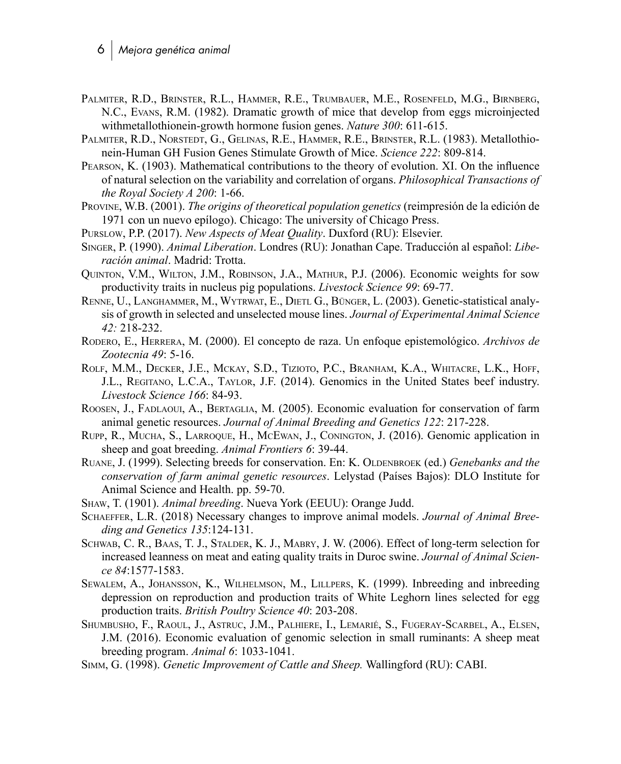- Palmiter, R.D., Brinster, R.L., Hammer, R.E., Trumbauer, M.E., Rosenfeld, M.G., Birnberg, N.C., Evans, R.M. (1982). Dramatic growth of mice that develop from eggs microinjected withmetallothionein-growth hormone fusion genes. *Nature 300*: 611-615.
- Palmiter, R.D., Norstedt, G., Gelinas, R.E., Hammer, R.E., Brinster, R.L. (1983). Metallothionein-Human GH Fusion Genes Stimulate Growth of Mice. *Science 222*: 809-814.
- Pearson, K. (1903). Mathematical contributions to the theory of evolution. XI. On the influence of natural selection on the variability and correlation of organs. *Philosophical Transactions of the Royal Society A 200*: 1-66.
- Provine, W.B. (2001). *The origins of theoretical population genetics* (reimpresión de la edición de 1971 con un nuevo epílogo). Chicago: The university of Chicago Press.
- Purslow, P.P. (2017). *New Aspects of Meat Quality*. Duxford (RU): Elsevier.
- Singer, P. (1990). *Animal Liberation*. Londres (RU): Jonathan Cape. Traducción al español: *Liberación animal*. Madrid: Trotta.
- Quinton, V.M., Wilton, J.M., Robinson, J.A., Mathur, P.J. (2006). Economic weights for sow productivity traits in nucleus pig populations. *Livestock Science 99*: 69-77.
- Renne, U., Langhammer, M., Wytrwat, E., Dietl G., Bünger, L. (2003). Genetic-statistical analysis of growth in selected and unselected mouse lines. *Journal of Experimental Animal Science 42:* 218-232.
- Rodero, E., Herrera, M. (2000). El concepto de raza. Un enfoque epistemológico. *Archivos de Zootecnia 49*: 5-16.
- Rolf, M.M., Decker, J.E., Mckay, S.D., Tizioto, P.C., Branham, K.A., Whitacre, L.K., Hoff, J.L., Regitano, L.C.A., Taylor, J.F. (2014). Genomics in the United States beef industry. *Livestock Science 166*: 84-93.
- Roosen, J., Fadlaoui, A., Bertaglia, M. (2005). Economic evaluation for conservation of farm animal genetic resources. *Journal of Animal Breeding and Genetics 122*: 217-228.
- Rupp, R., Mucha, S., Larroque, H., McEwan, J., Conington, J. (2016). Genomic application in sheep and goat breeding. *Animal Frontiers 6*: 39-44.
- RUANE, J. (1999). Selecting breeds for conservation. En: K. OLDENBROEK (ed.) *Genebanks and the conservation of farm animal genetic resources*. Lelystad (Países Bajos): DLO Institute for Animal Science and Health. pp. 59-70.
- Shaw, T. (1901). *Animal breeding*. Nueva York (EEUU): Orange Judd.
- Schaeffer, L.R. (2018) Necessary changes to improve animal models. *Journal of Animal Breeding and Genetics 135*:124-131.
- Schwab, C. R., Baas, T. J., Stalder, K. J., Mabry, J. W. (2006). Effect of long-term selection for increased leanness on meat and eating quality traits in Duroc swine. *Journal of Animal Science 84*:1577-1583.
- Sewalem, A., Johansson, K., Wilhelmson, M., Lillpers, K. (1999). Inbreeding and inbreeding depression on reproduction and production traits of White Leghorn lines selected for egg production traits. *British Poultry Science 40*: 203-208.
- Shumbusho, F., Raoul, J., Astruc, J.M., Palhiere, I., Lemarié, S., Fugeray-Scarbel, A., Elsen, J.M. (2016). Economic evaluation of genomic selection in small ruminants: A sheep meat breeding program. *Animal 6*: 1033-1041.
- Simm, G. (1998). *Genetic Improvement of Cattle and Sheep.* Wallingford (RU): CABI.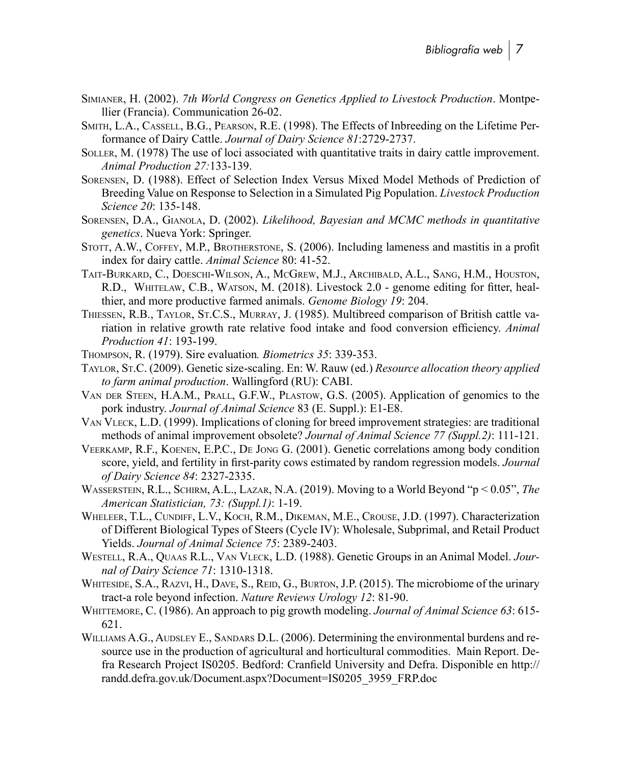- Simianer, H. (2002). *7th World Congress on Genetics Applied to Livestock Production*. Montpellier (Francia). Communication 26-02.
- Smith, L.A., Cassell, B.G., Pearson, R.E. (1998). The Effects of Inbreeding on the Lifetime Performance of Dairy Cattle. *Journal of Dairy Science 81*:2729-2737.
- Soller, M. (1978) The use of loci associated with quantitative traits in dairy cattle improvement. *Animal Production 27:*133-139.
- Sorensen, D. (1988). Effect of Selection Index Versus Mixed Model Methods of Prediction of Breeding Value on Response to Selection in a Simulated Pig Population. *Livestock Production Science 20*: 135-148.
- Sorensen, D.A., Gianola, D. (2002). *Likelihood, Bayesian and MCMC methods in quantitative genetics*. Nueva York: Springer.
- Stott, A.W., Coffey, M.P., Brotherstone, S. (2006). Including lameness and mastitis in a profit index for dairy cattle. *Animal Science* 80: 41-52.
- Tait-Burkard, C., Doeschi-Wilson, A., McGrew, M.J., Archibald, A.L., Sang, H.M., Houston, R.D., Whitelaw, C.B., Watson, M. (2018). Livestock 2.0 - genome editing for fitter, healthier, and more productive farmed animals. *Genome Biology 19*: 204.
- Thiessen, R.B., Taylor, St.C.S., Murray, J. (1985). Multibreed comparison of British cattle variation in relative growth rate relative food intake and food conversion efficiency. *Animal Production 41*: 193-199.
- Thompson, R. (1979). Sire evaluation*. Biometrics 35*: 339-353.
- Taylor, St.C. (2009). Genetic size-scaling. En: W. Rauw (ed.) *Resource allocation theory applied to farm animal production*. Wallingford (RU): CABI.
- Van der Steen, H.A.M., Prall, G.F.W., Plastow, G.S. (2005). Application of genomics to the pork industry. *Journal of Animal Science* 83 (E. Suppl.): E1-E8.
- Van Vleck, L.D. (1999). Implications of cloning for breed improvement strategies: are traditional methods of animal improvement obsolete? *Journal of Animal Science 77 (Suppl.2)*: 111-121.
- Veerkamp, R.F., Koenen, E.P.C., De Jong G. (2001). Genetic correlations among body condition score, yield, and fertility in first-parity cows estimated by random regression models. *Journal of Dairy Science 84*: 2327-2335.
- Wasserstein, R.L., Schirm, A.L., Lazar, N.A. (2019). Moving to a World Beyond "p < 0.05", *The American Statistician, 73: (Suppl.1)*: 1-19.
- Wheleer, T.L., Cundiff, L.V., Koch, R.M., Dikeman, M.E., Crouse, J.D. (1997). Characterization of Different Biological Types of Steers (Cycle IV): Wholesale, Subprimal, and Retail Product Yields. *Journal of Animal Science 75*: 2389-2403.
- Westell, R.A., Quaas R.L., Van Vleck, L.D. (1988). Genetic Groups in an Animal Model. *Journal of Dairy Science 71*: 1310-1318.
- WHITESIDE, S.A., RAZVI, H., DAVE, S., REID, G., BURTON, J.P. (2015). The microbiome of the urinary tract-a role beyond infection. *Nature Reviews Urology 12*: 81-90.
- Whittemore, C. (1986). An approach to pig growth modeling. *Journal of Animal Science 63*: 615- 621.
- WILLIAMS A.G., AUDSLEY E., SANDARS D.L. (2006). Determining the environmental burdens and resource use in the production of agricultural and horticultural commodities. Main Report. Defra Research Project IS0205. Bedford: Cranfield University and Defra. Disponible en [http://](http://randd.defra.gov.uk/Document.aspx?Document=IS0205_3959_FRP.doc) randd.defra.gov.uk/Document.aspx?Document=[IS0205\\_3959\\_FRP](http://randd.defra.gov.uk/Document.aspx?Document=IS0205_3959_FRP.doc).doc